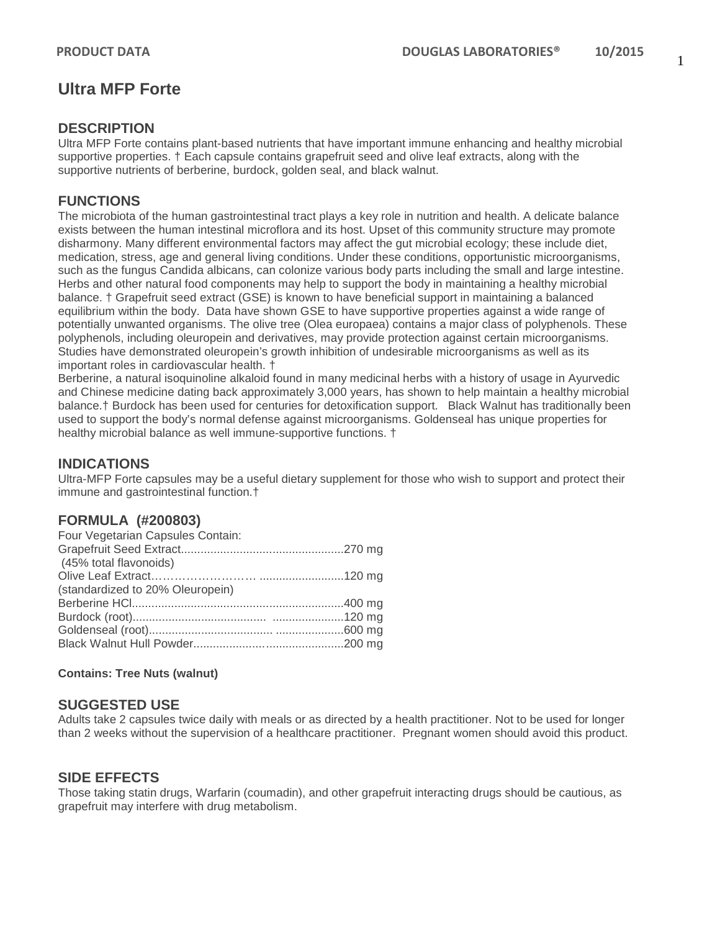# **Ultra MFP Forte**

## **DESCRIPTION**

Ultra MFP Forte contains plant-based nutrients that have important immune enhancing and healthy microbial supportive properties. † Each capsule contains grapefruit seed and olive leaf extracts, along with the supportive nutrients of berberine, burdock, golden seal, and black walnut.

# **FUNCTIONS**

The microbiota of the human gastrointestinal tract plays a key role in nutrition and health. A delicate balance exists between the human intestinal microflora and its host. Upset of this community structure may promote disharmony. Many different environmental factors may affect the gut microbial ecology; these include diet, medication, stress, age and general living conditions. Under these conditions, opportunistic microorganisms, such as the fungus Candida albicans, can colonize various body parts including the small and large intestine. Herbs and other natural food components may help to support the body in maintaining a healthy microbial balance. † Grapefruit seed extract (GSE) is known to have beneficial support in maintaining a balanced equilibrium within the body. Data have shown GSE to have supportive properties against a wide range of potentially unwanted organisms. The olive tree (Olea europaea) contains a major class of polyphenols. These polyphenols, including oleuropein and derivatives, may provide protection against certain microorganisms. Studies have demonstrated oleuropein's growth inhibition of undesirable microorganisms as well as its important roles in cardiovascular health. †

Berberine, a natural isoquinoline alkaloid found in many medicinal herbs with a history of usage in Ayurvedic and Chinese medicine dating back approximately 3,000 years, has shown to help maintain a healthy microbial balance.† Burdock has been used for centuries for detoxification support. Black Walnut has traditionally been used to support the body's normal defense against microorganisms. Goldenseal has unique properties for healthy microbial balance as well immune-supportive functions. †

# **INDICATIONS**

Ultra-MFP Forte capsules may be a useful dietary supplement for those who wish to support and protect their immune and gastrointestinal function.†

### **FORMULA (#200803)**

| Four Vegetarian Capsules Contain: |  |
|-----------------------------------|--|
|                                   |  |
| (45% total flavonoids)            |  |
|                                   |  |
| (standardized to 20% Oleuropein)  |  |
|                                   |  |
|                                   |  |
|                                   |  |
|                                   |  |

**Contains: Tree Nuts (walnut)**

### **SUGGESTED USE**

Adults take 2 capsules twice daily with meals or as directed by a health practitioner. Not to be used for longer than 2 weeks without the supervision of a healthcare practitioner. Pregnant women should avoid this product.

### **SIDE EFFECTS**

Those taking statin drugs, Warfarin (coumadin), and other grapefruit interacting drugs should be cautious, as grapefruit may interfere with drug metabolism.